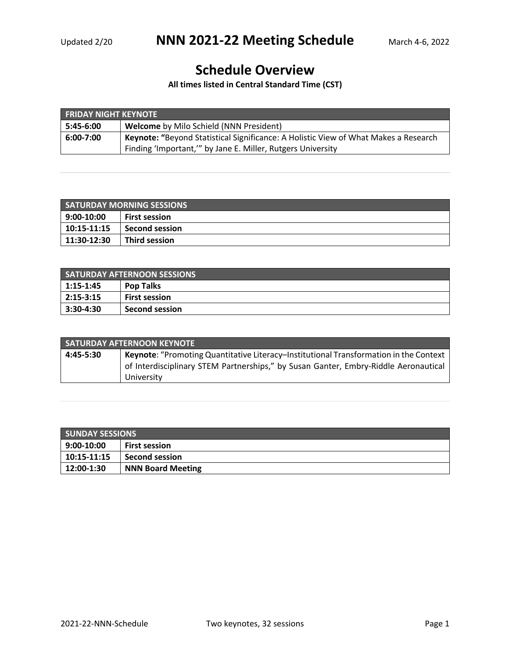## **Schedule Overview**

**All times listed in Central Standard Time (CST)**

| <b>FRIDAY NIGHT KEYNOTE</b> |                                                                                     |  |
|-----------------------------|-------------------------------------------------------------------------------------|--|
| 5:45-6:00                   | <b>Welcome</b> by Milo Schield (NNN President)                                      |  |
| 6:00-7:00                   | Keynote: "Beyond Statistical Significance: A Holistic View of What Makes a Research |  |
|                             | Finding 'Important,'" by Jane E. Miller, Rutgers University                         |  |

| <b>SATURDAY MORNING SESSIONS</b> |                      |  |
|----------------------------------|----------------------|--|
| 9:00-10:00                       | <b>First session</b> |  |
| 10:15-11:15                      | l Second session     |  |
| 11:30-12:30                      | Third session        |  |

| <b>SATURDAY AFTERNOON SESSIONS</b> |                       |  |
|------------------------------------|-----------------------|--|
| 1:15-1:45                          | <b>Pop Talks</b>      |  |
| $ 2:15-3:15$                       | <b>First session</b>  |  |
| 3:30-4:30                          | <b>Second session</b> |  |

| <b>SATURDAY AFTERNOON KEYNOTE</b> |                                                                                       |  |
|-----------------------------------|---------------------------------------------------------------------------------------|--|
| 4:45-5:30                         | Keynote: "Promoting Quantitative Literacy-Institutional Transformation in the Context |  |
|                                   | of Interdisciplinary STEM Partnerships," by Susan Ganter, Embry-Riddle Aeronautical   |  |
|                                   | University                                                                            |  |

| <b>SUNDAY SESSIONS</b> |                          |  |
|------------------------|--------------------------|--|
| 9:00-10:00             | <b>First session</b>     |  |
| 10:15-11:15            | <b>Second session</b>    |  |
| 12:00-1:30             | <b>NNN Board Meeting</b> |  |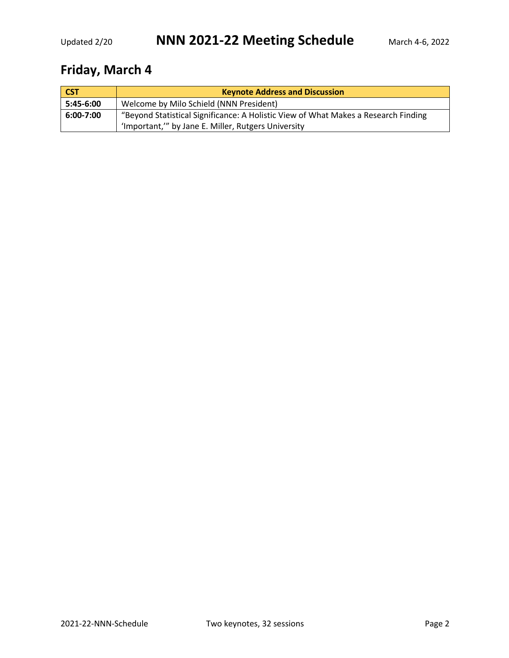## **Friday, March 4**

| <b>CST</b>    | <b>Keynote Address and Discussion</b>                                                                                                    |  |
|---------------|------------------------------------------------------------------------------------------------------------------------------------------|--|
| $5:45-6:00$   | Welcome by Milo Schield (NNN President)                                                                                                  |  |
| $6:00 - 7:00$ | "Beyond Statistical Significance: A Holistic View of What Makes a Research Finding<br>'Important," by Jane E. Miller, Rutgers University |  |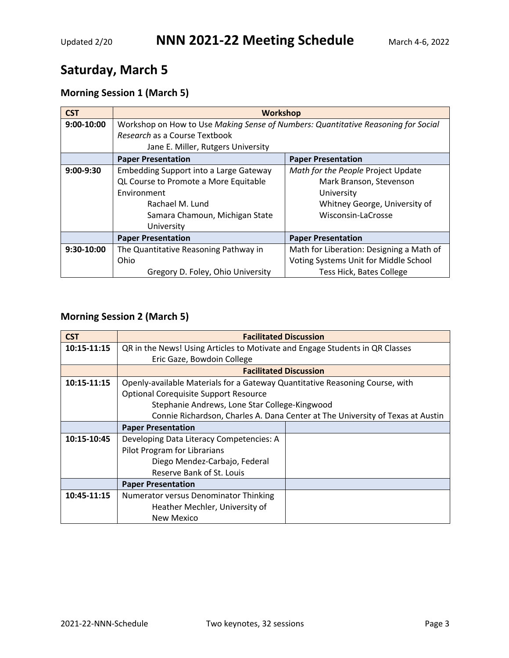## **Saturday, March 5**

### **Morning Session 1 (March 5)**

| <b>CST</b>  | <b>Workshop</b>                                                                   |                                          |
|-------------|-----------------------------------------------------------------------------------|------------------------------------------|
| 9:00-10:00  | Workshop on How to Use Making Sense of Numbers: Quantitative Reasoning for Social |                                          |
|             | Research as a Course Textbook                                                     |                                          |
|             | Jane E. Miller, Rutgers University                                                |                                          |
|             | <b>Paper Presentation</b>                                                         | <b>Paper Presentation</b>                |
| $9:00-9:30$ | Embedding Support into a Large Gateway                                            | Math for the People Project Update       |
|             | QL Course to Promote a More Equitable                                             | Mark Branson, Stevenson                  |
|             | Environment                                                                       | University                               |
|             | Rachael M. Lund                                                                   | Whitney George, University of            |
|             | Samara Chamoun, Michigan State                                                    | Wisconsin-LaCrosse                       |
|             | University                                                                        |                                          |
|             | <b>Paper Presentation</b>                                                         | <b>Paper Presentation</b>                |
| 9:30-10:00  | The Quantitative Reasoning Pathway in                                             | Math for Liberation: Designing a Math of |
|             | Ohio                                                                              | Voting Systems Unit for Middle School    |
|             | Gregory D. Foley, Ohio University                                                 | <b>Tess Hick, Bates College</b>          |

#### **Morning Session 2 (March 5)**

| <b>CST</b>  | <b>Facilitated Discussion</b>                                                  |  |
|-------------|--------------------------------------------------------------------------------|--|
| 10:15-11:15 | QR in the News! Using Articles to Motivate and Engage Students in QR Classes   |  |
|             | Eric Gaze, Bowdoin College                                                     |  |
|             | <b>Facilitated Discussion</b>                                                  |  |
| 10:15-11:15 | Openly-available Materials for a Gateway Quantitative Reasoning Course, with   |  |
|             | <b>Optional Corequisite Support Resource</b>                                   |  |
|             | Stephanie Andrews, Lone Star College-Kingwood                                  |  |
|             | Connie Richardson, Charles A. Dana Center at The University of Texas at Austin |  |
|             | <b>Paper Presentation</b>                                                      |  |
| 10:15-10:45 | Developing Data Literacy Competencies: A                                       |  |
|             | Pilot Program for Librarians                                                   |  |
|             | Diego Mendez-Carbajo, Federal                                                  |  |
|             | Reserve Bank of St. Louis                                                      |  |
|             | <b>Paper Presentation</b>                                                      |  |
| 10:45-11:15 | Numerator versus Denominator Thinking                                          |  |
|             | Heather Mechler, University of                                                 |  |
|             | New Mexico                                                                     |  |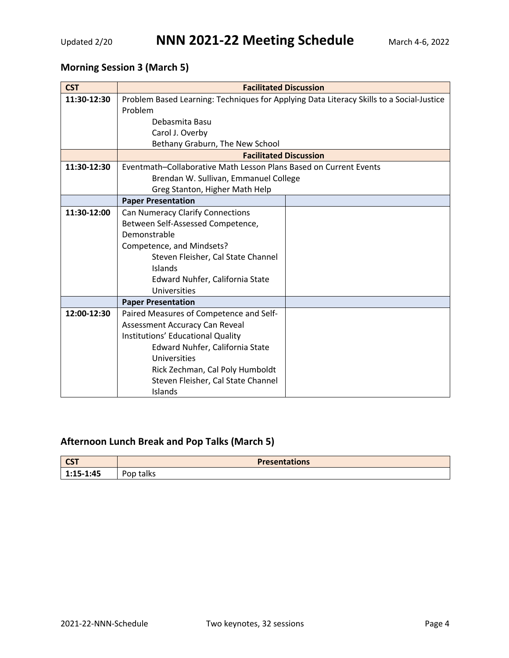### **Morning Session 3 (March 5)**

| <b>CST</b>  | <b>Facilitated Discussion</b>                                                            |  |
|-------------|------------------------------------------------------------------------------------------|--|
| 11:30-12:30 | Problem Based Learning: Techniques for Applying Data Literacy Skills to a Social-Justice |  |
|             | Problem                                                                                  |  |
|             | Debasmita Basu                                                                           |  |
|             | Carol J. Overby                                                                          |  |
|             | Bethany Graburn, The New School                                                          |  |
|             | <b>Facilitated Discussion</b>                                                            |  |
| 11:30-12:30 | Eventmath-Collaborative Math Lesson Plans Based on Current Events                        |  |
|             | Brendan W. Sullivan, Emmanuel College                                                    |  |
|             | Greg Stanton, Higher Math Help                                                           |  |
|             | <b>Paper Presentation</b>                                                                |  |
| 11:30-12:00 | <b>Can Numeracy Clarify Connections</b>                                                  |  |
|             | Between Self-Assessed Competence,                                                        |  |
|             | Demonstrable                                                                             |  |
|             | Competence, and Mindsets?                                                                |  |
|             | Steven Fleisher, Cal State Channel                                                       |  |
|             | Islands                                                                                  |  |
|             | Edward Nuhfer, California State                                                          |  |
|             | Universities                                                                             |  |
|             | <b>Paper Presentation</b>                                                                |  |
| 12:00-12:30 | Paired Measures of Competence and Self-                                                  |  |
|             | Assessment Accuracy Can Reveal                                                           |  |
|             | Institutions' Educational Quality                                                        |  |
|             | Edward Nuhfer, California State                                                          |  |
|             | Universities                                                                             |  |
|             | Rick Zechman, Cal Poly Humboldt                                                          |  |
|             | Steven Fleisher, Cal State Channel                                                       |  |
|             | Islands                                                                                  |  |

#### **Afternoon Lunch Break and Pop Talks (March 5)**

| $\sim$<br>$\overline{\mathbf{C}}$ | <b>Presentations</b> |  |
|-----------------------------------|----------------------|--|
| $-1:45$                           | talks                |  |
| י-                                | Pop                  |  |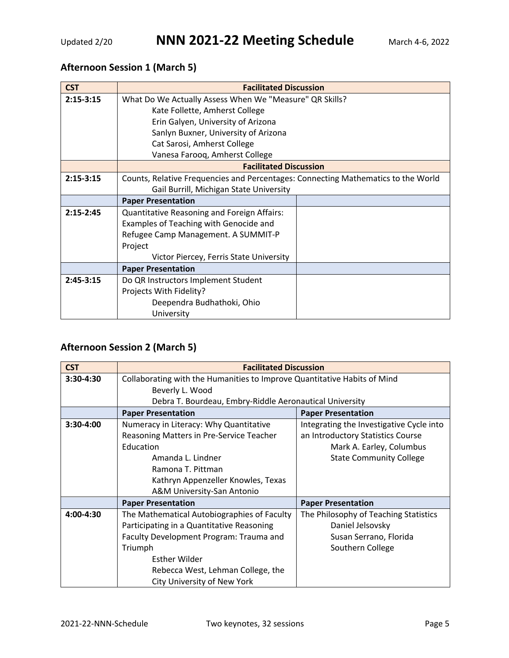#### **Afternoon Session 1 (March 5)**

| <b>CST</b>    | <b>Facilitated Discussion</b>                                                     |  |
|---------------|-----------------------------------------------------------------------------------|--|
| $2:15-3:15$   | What Do We Actually Assess When We "Measure" QR Skills?                           |  |
|               | Kate Follette, Amherst College                                                    |  |
|               | Erin Galyen, University of Arizona                                                |  |
|               | Sanlyn Buxner, University of Arizona                                              |  |
|               | Cat Sarosi, Amherst College                                                       |  |
|               | Vanesa Faroog, Amherst College                                                    |  |
|               | <b>Facilitated Discussion</b>                                                     |  |
| $2:15-3:15$   | Counts, Relative Frequencies and Percentages: Connecting Mathematics to the World |  |
|               | Gail Burrill, Michigan State University                                           |  |
|               | <b>Paper Presentation</b>                                                         |  |
| $2:15 - 2:45$ | Quantitative Reasoning and Foreign Affairs:                                       |  |
|               | Examples of Teaching with Genocide and                                            |  |
|               | Refugee Camp Management. A SUMMIT-P                                               |  |
|               | Project                                                                           |  |
|               | Victor Piercey, Ferris State University                                           |  |
|               | <b>Paper Presentation</b>                                                         |  |
| $2:45-3:15$   | Do QR Instructors Implement Student                                               |  |
|               | Projects With Fidelity?                                                           |  |
|               | Deependra Budhathoki, Ohio                                                        |  |
|               | University                                                                        |  |

#### **Afternoon Session 2 (March 5)**

| <b>CST</b>  | <b>Facilitated Discussion</b>                                            |                                          |
|-------------|--------------------------------------------------------------------------|------------------------------------------|
| $3:30-4:30$ | Collaborating with the Humanities to Improve Quantitative Habits of Mind |                                          |
|             | Beverly L. Wood                                                          |                                          |
|             | Debra T. Bourdeau, Embry-Riddle Aeronautical University                  |                                          |
|             | <b>Paper Presentation</b>                                                | <b>Paper Presentation</b>                |
| 3:30-4:00   | Numeracy in Literacy: Why Quantitative                                   | Integrating the Investigative Cycle into |
|             | Reasoning Matters in Pre-Service Teacher                                 | an Introductory Statistics Course        |
|             | Education                                                                | Mark A. Earley, Columbus                 |
|             | Amanda L. Lindner                                                        | <b>State Community College</b>           |
|             | Ramona T. Pittman                                                        |                                          |
|             | Kathryn Appenzeller Knowles, Texas                                       |                                          |
|             | A&M University-San Antonio                                               |                                          |
|             | <b>Paper Presentation</b>                                                | <b>Paper Presentation</b>                |
| 4:00-4:30   | The Mathematical Autobiographies of Faculty                              | The Philosophy of Teaching Statistics    |
|             | Participating in a Quantitative Reasoning                                | Daniel Jelsovsky                         |
|             | Faculty Development Program: Trauma and                                  | Susan Serrano, Florida                   |
|             | Triumph                                                                  | Southern College                         |
|             | <b>Esther Wilder</b>                                                     |                                          |
|             | Rebecca West, Lehman College, the                                        |                                          |
|             | City University of New York                                              |                                          |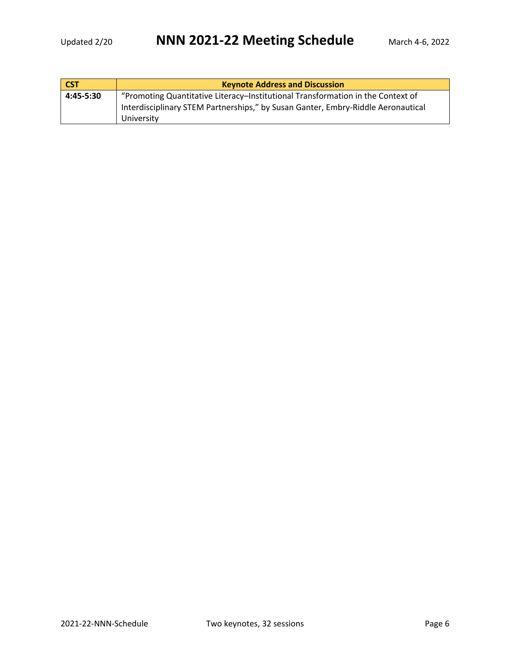| <b>CST</b> | <b>Keynote Address and Discussion</b>                                            |  |
|------------|----------------------------------------------------------------------------------|--|
| 4:45-5:30  | "Promoting Quantitative Literacy-Institutional Transformation in the Context of  |  |
|            | Interdisciplinary STEM Partnerships," by Susan Ganter, Embry-Riddle Aeronautical |  |
|            | University                                                                       |  |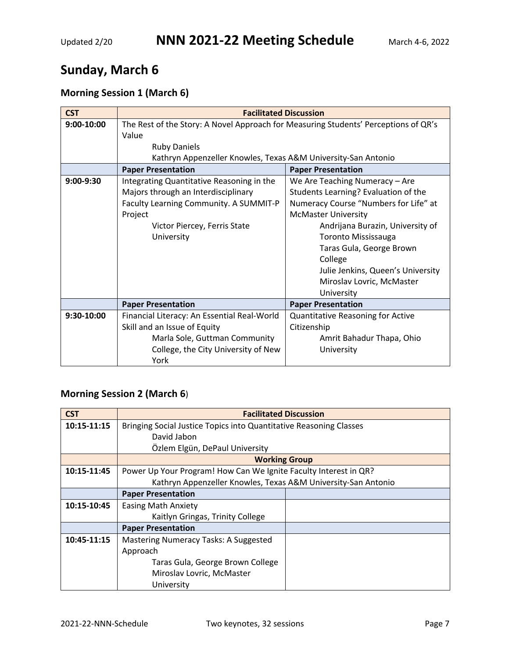# **Sunday, March 6**

### **Morning Session 1 (March 6)**

| <b>CST</b>   | <b>Facilitated Discussion</b>                                                       |                                       |  |  |
|--------------|-------------------------------------------------------------------------------------|---------------------------------------|--|--|
| $9:00-10:00$ | The Rest of the Story: A Novel Approach for Measuring Students' Perceptions of QR's |                                       |  |  |
|              | Value                                                                               |                                       |  |  |
|              | <b>Ruby Daniels</b>                                                                 |                                       |  |  |
|              | Kathryn Appenzeller Knowles, Texas A&M University-San Antonio                       |                                       |  |  |
|              | <b>Paper Presentation</b>                                                           | <b>Paper Presentation</b>             |  |  |
| 9:00-9:30    | Integrating Quantitative Reasoning in the                                           | We Are Teaching Numeracy - Are        |  |  |
|              | Majors through an Interdisciplinary                                                 | Students Learning? Evaluation of the  |  |  |
|              | Faculty Learning Community. A SUMMIT-P                                              | Numeracy Course "Numbers for Life" at |  |  |
|              | Project                                                                             | <b>McMaster University</b>            |  |  |
|              | Victor Piercey, Ferris State                                                        | Andrijana Burazin, University of      |  |  |
|              | University                                                                          | <b>Toronto Mississauga</b>            |  |  |
|              |                                                                                     | Taras Gula, George Brown              |  |  |
|              |                                                                                     | College                               |  |  |
|              |                                                                                     | Julie Jenkins, Queen's University     |  |  |
|              |                                                                                     | Miroslav Lovric, McMaster             |  |  |
|              |                                                                                     | University                            |  |  |
|              | <b>Paper Presentation</b>                                                           | <b>Paper Presentation</b>             |  |  |
| 9:30-10:00   | Financial Literacy: An Essential Real-World                                         | Quantitative Reasoning for Active     |  |  |
|              | Skill and an Issue of Equity                                                        | Citizenship                           |  |  |
|              | Marla Sole, Guttman Community                                                       | Amrit Bahadur Thapa, Ohio             |  |  |
|              | College, the City University of New                                                 | University                            |  |  |
|              | York                                                                                |                                       |  |  |

#### **Morning Session 2 (March 6**)

| <b>CST</b>  | <b>Facilitated Discussion</b>                                      |  |  |
|-------------|--------------------------------------------------------------------|--|--|
| 10:15-11:15 | Bringing Social Justice Topics into Quantitative Reasoning Classes |  |  |
|             | David Jabon                                                        |  |  |
|             | Özlem Elgün, DePaul University                                     |  |  |
|             | <b>Working Group</b>                                               |  |  |
| 10:15-11:45 | Power Up Your Program! How Can We Ignite Faculty Interest in QR?   |  |  |
|             | Kathryn Appenzeller Knowles, Texas A&M University-San Antonio      |  |  |
|             | <b>Paper Presentation</b>                                          |  |  |
| 10:15-10:45 | <b>Easing Math Anxiety</b>                                         |  |  |
|             | Kaitlyn Gringas, Trinity College                                   |  |  |
|             | <b>Paper Presentation</b>                                          |  |  |
| 10:45-11:15 | <b>Mastering Numeracy Tasks: A Suggested</b>                       |  |  |
|             | Approach                                                           |  |  |
|             | Taras Gula, George Brown College                                   |  |  |
|             | Miroslav Lovric, McMaster                                          |  |  |
|             | University                                                         |  |  |